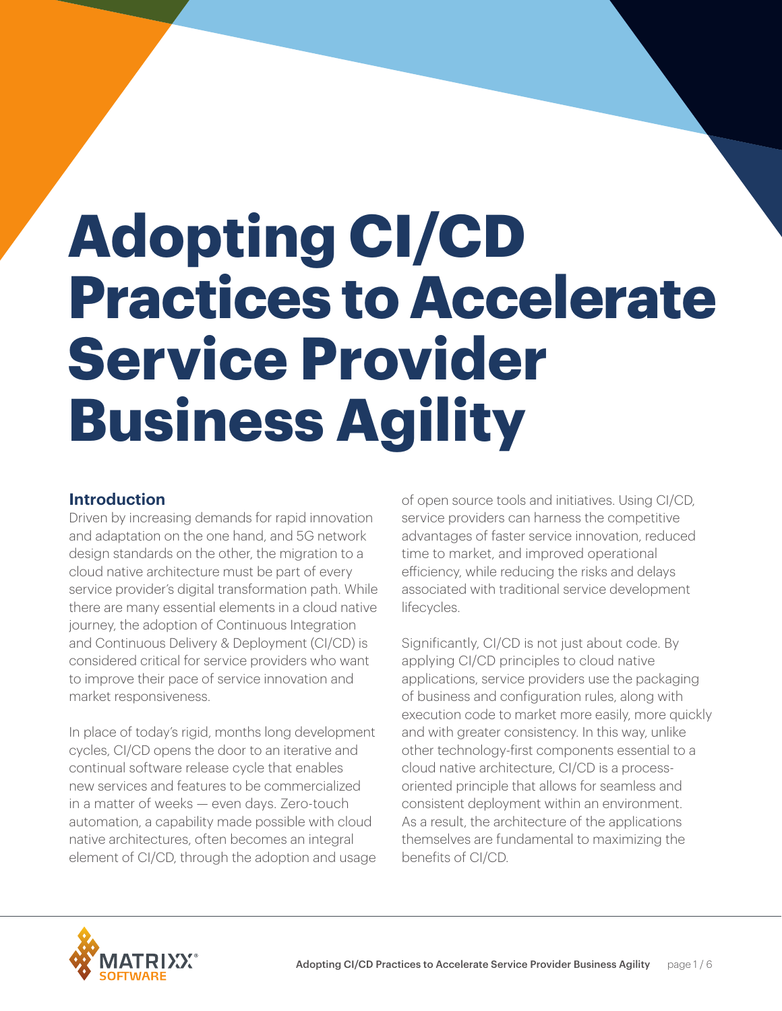# **Adopting CI/CD Practices to Accelerate Service Provider Business Agility**

# **Introduction**

Driven by increasing demands for rapid innovation and adaptation on the one hand, and 5G network design standards on the other, the migration to a cloud native architecture must be part of every service provider's digital transformation path. While there are many essential elements in a cloud native journey, the adoption of Continuous Integration and Continuous Delivery & Deployment (CI/CD) is considered critical for service providers who want to improve their pace of service innovation and market responsiveness.

In place of today's rigid, months long development cycles, CI/CD opens the door to an iterative and continual software release cycle that enables new services and features to be commercialized in a matter of weeks — even days. Zero-touch automation, a capability made possible with cloud native architectures, often becomes an integral element of CI/CD, through the adoption and usage of open source tools and initiatives. Using CI/CD, service providers can harness the competitive advantages of faster service innovation, reduced time to market, and improved operational efficiency, while reducing the risks and delays associated with traditional service development lifecycles.

Significantly, CI/CD is not just about code. By applying CI/CD principles to cloud native applications, service providers use the packaging of business and configuration rules, along with execution code to market more easily, more quickly and with greater consistency. In this way, unlike other technology-first components essential to a cloud native architecture, CI/CD is a processoriented principle that allows for seamless and consistent deployment within an environment. As a result, the architecture of the applications themselves are fundamental to maximizing the benefits of CI/CD.

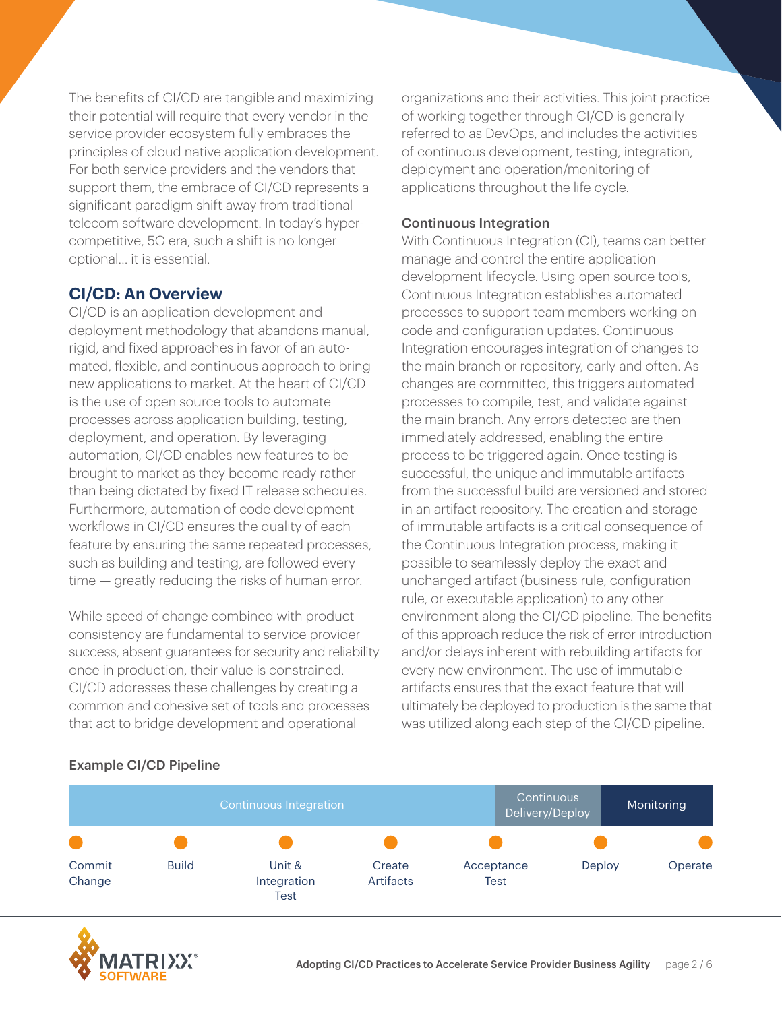The benefits of CI/CD are tangible and maximizing their potential will require that every vendor in the service provider ecosystem fully embraces the principles of cloud native application development. For both service providers and the vendors that support them, the embrace of CI/CD represents a significant paradigm shift away from traditional telecom software development. In today's hypercompetitive, 5G era, such a shift is no longer optional… it is essential.

# **CI/CD: An Overview**

CI/CD is an application development and deployment methodology that abandons manual, rigid, and fixed approaches in favor of an automated, flexible, and continuous approach to bring new applications to market. At the heart of CI/CD is the use of open source tools to automate processes across application building, testing, deployment, and operation. By leveraging automation, CI/CD enables new features to be brought to market as they become ready rather than being dictated by fixed IT release schedules. Furthermore, automation of code development workflows in CI/CD ensures the quality of each feature by ensuring the same repeated processes, such as building and testing, are followed every time — greatly reducing the risks of human error.

While speed of change combined with product consistency are fundamental to service provider success, absent guarantees for security and reliability once in production, their value is constrained. CI/CD addresses these challenges by creating a common and cohesive set of tools and processes that act to bridge development and operational

organizations and their activities. This joint practice of working together through CI/CD is generally referred to as DevOps, and includes the activities of continuous development, testing, integration, deployment and operation/monitoring of applications throughout the life cycle.

#### Continuous Integration

With Continuous Integration (CI), teams can better manage and control the entire application development lifecycle. Using open source tools, Continuous Integration establishes automated processes to support team members working on code and configuration updates. Continuous Integration encourages integration of changes to the main branch or repository, early and often. As changes are committed, this triggers automated processes to compile, test, and validate against the main branch. Any errors detected are then immediately addressed, enabling the entire process to be triggered again. Once testing is successful, the unique and immutable artifacts from the successful build are versioned and stored in an artifact repository. The creation and storage of immutable artifacts is a critical consequence of the Continuous Integration process, making it possible to seamlessly deploy the exact and unchanged artifact (business rule, configuration rule, or executable application) to any other environment along the CI/CD pipeline. The benefits of this approach reduce the risk of error introduction and/or delays inherent with rebuilding artifacts for every new environment. The use of immutable artifacts ensures that the exact feature that will ultimately be deployed to production is the same that was utilized along each step of the CI/CD pipeline.



#### Example CI/CD Pipeline

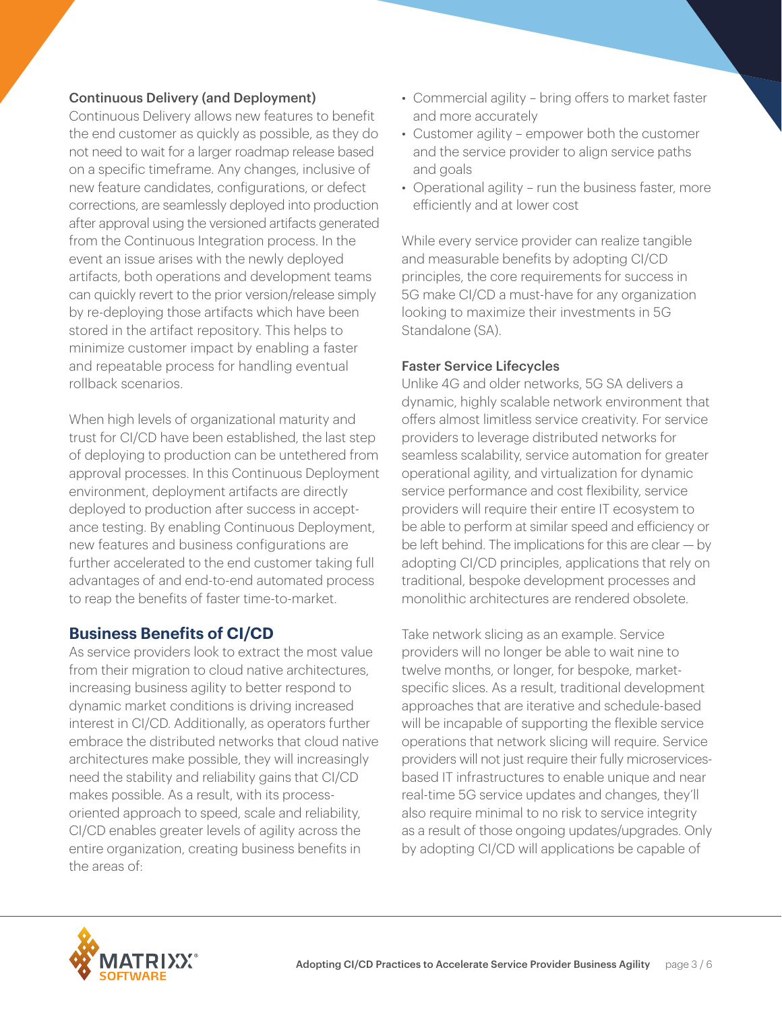# Continuous Delivery (and Deployment)

Continuous Delivery allows new features to benefit the end customer as quickly as possible, as they do not need to wait for a larger roadmap release based on a specific timeframe. Any changes, inclusive of new feature candidates, configurations, or defect corrections, are seamlessly deployed into production after approval using the versioned artifacts generated from the Continuous Integration process. In the event an issue arises with the newly deployed artifacts, both operations and development teams can quickly revert to the prior version/release simply by re-deploying those artifacts which have been stored in the artifact repository. This helps to minimize customer impact by enabling a faster and repeatable process for handling eventual rollback scenarios.

When high levels of organizational maturity and trust for CI/CD have been established, the last step of deploying to production can be untethered from approval processes. In this Continuous Deployment environment, deployment artifacts are directly deployed to production after success in acceptance testing. By enabling Continuous Deployment, new features and business configurations are further accelerated to the end customer taking full advantages of and end-to-end automated process to reap the benefits of faster time-to-market.

# **Business Benefits of CI/CD**

As service providers look to extract the most value from their migration to cloud native architectures, increasing business agility to better respond to dynamic market conditions is driving increased interest in CI/CD. Additionally, as operators further embrace the distributed networks that cloud native architectures make possible, they will increasingly need the stability and reliability gains that CI/CD makes possible. As a result, with its processoriented approach to speed, scale and reliability, CI/CD enables greater levels of agility across the entire organization, creating business benefits in the areas of:

- Commercial agility bring offers to market faster and more accurately
- Customer agility empower both the customer and the service provider to align service paths and goals
- Operational agility run the business faster, more efficiently and at lower cost

While every service provider can realize tangible and measurable benefits by adopting CI/CD principles, the core requirements for success in 5G make CI/CD a must-have for any organization looking to maximize their investments in 5G Standalone (SA).

#### Faster Service Lifecycles

Unlike 4G and older networks, 5G SA delivers a dynamic, highly scalable network environment that offers almost limitless service creativity. For service providers to leverage distributed networks for seamless scalability, service automation for greater operational agility, and virtualization for dynamic service performance and cost flexibility, service providers will require their entire IT ecosystem to be able to perform at similar speed and efficiency or be left behind. The implications for this are clear — by adopting CI/CD principles, applications that rely on traditional, bespoke development processes and monolithic architectures are rendered obsolete.

Take network slicing as an example. Service providers will no longer be able to wait nine to twelve months, or longer, for bespoke, marketspecific slices. As a result, traditional development approaches that are iterative and schedule-based will be incapable of supporting the flexible service operations that network slicing will require. Service providers will not just require their fully microservicesbased IT infrastructures to enable unique and near real-time 5G service updates and changes, they'll also require minimal to no risk to service integrity as a result of those ongoing updates/upgrades. Only by adopting CI/CD will applications be capable of

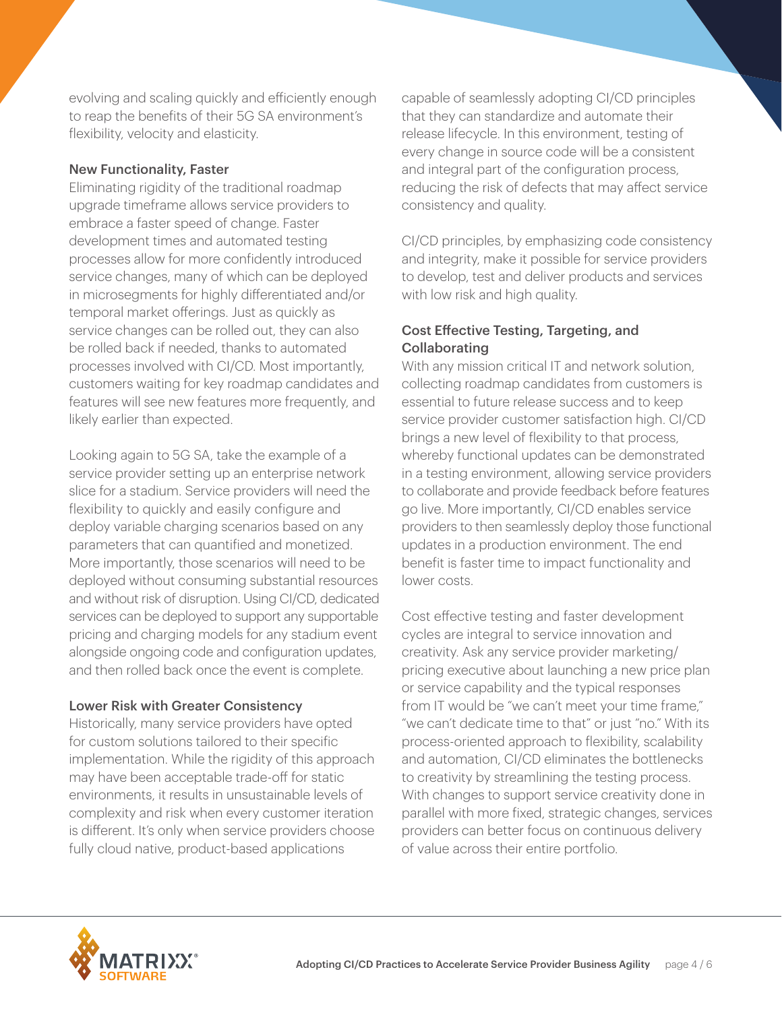evolving and scaling quickly and efficiently enough to reap the benefits of their 5G SA environment's flexibility, velocity and elasticity.

### New Functionality, Faster

Eliminating rigidity of the traditional roadmap upgrade timeframe allows service providers to embrace a faster speed of change. Faster development times and automated testing processes allow for more confidently introduced service changes, many of which can be deployed in microsegments for highly differentiated and/or temporal market offerings. Just as quickly as service changes can be rolled out, they can also be rolled back if needed, thanks to automated processes involved with CI/CD. Most importantly, customers waiting for key roadmap candidates and features will see new features more frequently, and likely earlier than expected.

Looking again to 5G SA, take the example of a service provider setting up an enterprise network slice for a stadium. Service providers will need the flexibility to quickly and easily configure and deploy variable charging scenarios based on any parameters that can quantified and monetized. More importantly, those scenarios will need to be deployed without consuming substantial resources and without risk of disruption. Using CI/CD, dedicated services can be deployed to support any supportable pricing and charging models for any stadium event alongside ongoing code and configuration updates, and then rolled back once the event is complete.

#### Lower Risk with Greater Consistency

Historically, many service providers have opted for custom solutions tailored to their specific implementation. While the rigidity of this approach may have been acceptable trade-off for static environments, it results in unsustainable levels of complexity and risk when every customer iteration is different. It's only when service providers choose fully cloud native, product-based applications

capable of seamlessly adopting CI/CD principles that they can standardize and automate their release lifecycle. In this environment, testing of every change in source code will be a consistent and integral part of the configuration process, reducing the risk of defects that may affect service consistency and quality.

CI/CD principles, by emphasizing code consistency and integrity, make it possible for service providers to develop, test and deliver products and services with low risk and high quality.

# Cost Effective Testing, Targeting, and **Collaborating**

With any mission critical IT and network solution, collecting roadmap candidates from customers is essential to future release success and to keep service provider customer satisfaction high. CI/CD brings a new level of flexibility to that process, whereby functional updates can be demonstrated in a testing environment, allowing service providers to collaborate and provide feedback before features go live. More importantly, CI/CD enables service providers to then seamlessly deploy those functional updates in a production environment. The end benefit is faster time to impact functionality and lower costs.

Cost effective testing and faster development cycles are integral to service innovation and creativity. Ask any service provider marketing/ pricing executive about launching a new price plan or service capability and the typical responses from IT would be "we can't meet your time frame," "we can't dedicate time to that" or just "no." With its process-oriented approach to flexibility, scalability and automation, CI/CD eliminates the bottlenecks to creativity by streamlining the testing process. With changes to support service creativity done in parallel with more fixed, strategic changes, services providers can better focus on continuous delivery of value across their entire portfolio.

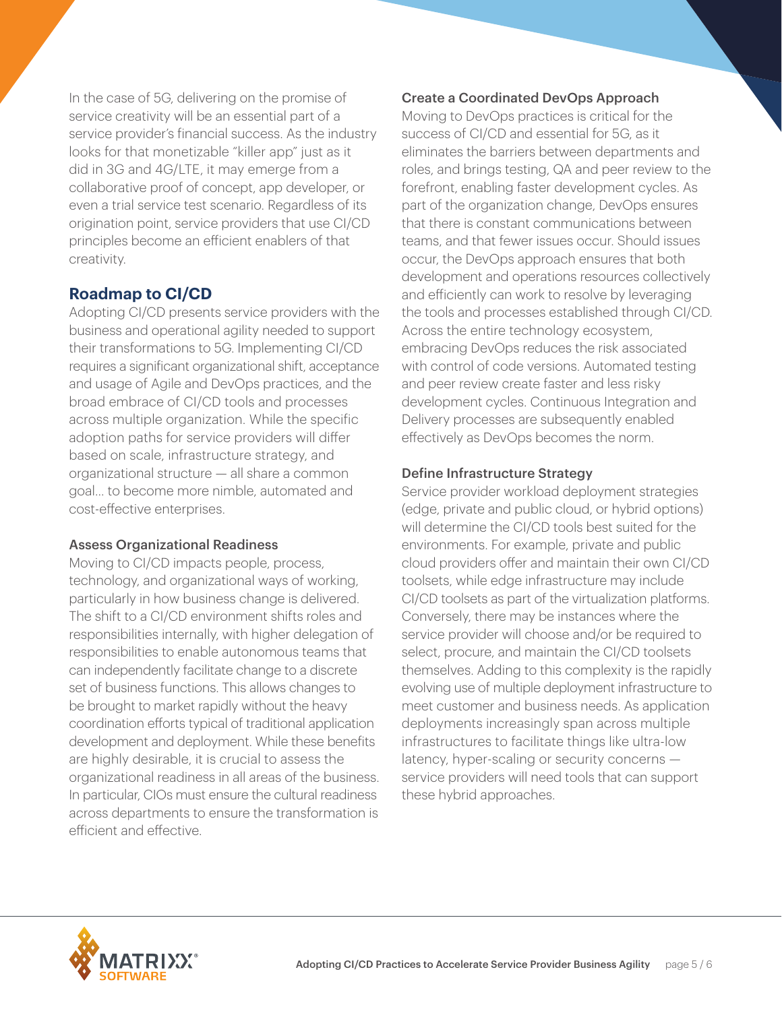In the case of 5G, delivering on the promise of service creativity will be an essential part of a service provider's financial success. As the industry looks for that monetizable "killer app" just as it did in 3G and 4G/LTE, it may emerge from a collaborative proof of concept, app developer, or even a trial service test scenario. Regardless of its origination point, service providers that use CI/CD principles become an efficient enablers of that creativity.

# **Roadmap to CI/CD**

Adopting CI/CD presents service providers with the business and operational agility needed to support their transformations to 5G. Implementing CI/CD requires a significant organizational shift, acceptance and usage of Agile and DevOps practices, and the broad embrace of CI/CD tools and processes across multiple organization. While the specific adoption paths for service providers will differ based on scale, infrastructure strategy, and organizational structure — all share a common goal... to become more nimble, automated and cost-effective enterprises.

## Assess Organizational Readiness

Moving to CI/CD impacts people, process, technology, and organizational ways of working, particularly in how business change is delivered. The shift to a CI/CD environment shifts roles and responsibilities internally, with higher delegation of responsibilities to enable autonomous teams that can independently facilitate change to a discrete set of business functions. This allows changes to be brought to market rapidly without the heavy coordination efforts typical of traditional application development and deployment. While these benefits are highly desirable, it is crucial to assess the organizational readiness in all areas of the business. In particular, CIOs must ensure the cultural readiness across departments to ensure the transformation is efficient and effective.

# Create a Coordinated DevOps Approach

Moving to DevOps practices is critical for the success of CI/CD and essential for 5G, as it eliminates the barriers between departments and roles, and brings testing, QA and peer review to the forefront, enabling faster development cycles. As part of the organization change, DevOps ensures that there is constant communications between teams, and that fewer issues occur. Should issues occur, the DevOps approach ensures that both development and operations resources collectively and efficiently can work to resolve by leveraging the tools and processes established through CI/CD. Across the entire technology ecosystem, embracing DevOps reduces the risk associated with control of code versions. Automated testing and peer review create faster and less risky development cycles. Continuous Integration and Delivery processes are subsequently enabled effectively as DevOps becomes the norm.

## Define Infrastructure Strategy

Service provider workload deployment strategies (edge, private and public cloud, or hybrid options) will determine the CI/CD tools best suited for the environments. For example, private and public cloud providers offer and maintain their own CI/CD toolsets, while edge infrastructure may include CI/CD toolsets as part of the virtualization platforms. Conversely, there may be instances where the service provider will choose and/or be required to select, procure, and maintain the CI/CD toolsets themselves. Adding to this complexity is the rapidly evolving use of multiple deployment infrastructure to meet customer and business needs. As application deployments increasingly span across multiple infrastructures to facilitate things like ultra-low latency, hyper-scaling or security concerns service providers will need tools that can support these hybrid approaches.